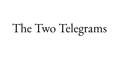## The Two Telegrams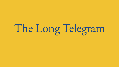## The Long Telegram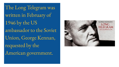The Long Telegram was written in February of 1946 by the US ambassador to the Soviet Union, George Kennan, requested by the American government.

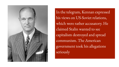

In the telegram, Kennan expressed his views on US-Soviet relations, which were rather accusatory. He claimed Stalin wanted to see capitalism destroyed and spread communism. The American government took his allegations seriously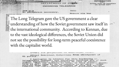DEPARTMENT OF STACE-

**INCOMING TELEGRAM** 

 $PEM - K - M$ No paraphrase necessary.

**PENISIONSO** 

**SERVICE** 

**RAPH SECTION** 

ACTION-ET

Moscow via War

8963

IFORMATION

**CTION MUST BE ENDORSED** ON ACTION COPY

IN The Long Telegram gave the US government a clear understanding of how the Soviet government saw itself in S<sub>P</sub> the international community. According to Kennan, due to the vast ideological differences, the Soviet Union did not see the possibility for long-term peaceful coexistence with the capitalist world.

> TAR DEATH AT ANY THE WAY AN ARTICLE (Five) Practical deductions from standpoint of US policy.

I apologize in advance for this burdening of telegraphic channel; but questions involved are of such urgent importance, particularly in view of recent events, that our answers to them, if they deserve attention at all, seem to me to deserve it at once. FOLLOWS PART ONE: BASIC FEATURES OF POST WAR SOVIET ATTEATH THE CHEREAT DRODAGATOA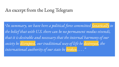## An excerpt from the Long Telegram

"*In summary, we have here a political force committed fanatically to the belief that with U.S. there can be no permanent modus vivendi, that it is desirable and necessary that the internal harmony of our society be disrupted, our traditional way of life be destroyed, the international authority of our state be broken . . . ."*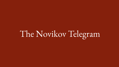## The Novikov Telegram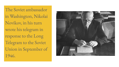The Soviet ambassador in Washington, Nikolai Novikov, in his turn wrote his telegram in response to the Long Telegram to the Soviet Union in September of 1946.

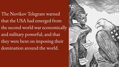The Novikov Telegram warned that the USA had emerged from the second world war economically and military powerful, and that they were bent on imposing their domination around the world.

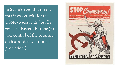In Stalin's eyes, this meant that it was crucial for the USSR to secure its "buffer zone" in Eastern Europe (to take control of the countries on his border as a form of protection.)

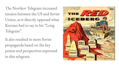The Novikov Telegram increased tension between the US and Soviet Union, as it directly opposed what Kennan had to say in his "Long Telegram".

It also resulted in more Soviet propaganda based on the key points and perspectives expressed in this telegram.

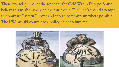These two telegrams set the scene for the Cold War in Europe. Some believe this might have been the cause of it. The USSR would attempt to dominate Eastern Europe and spread communism where possible. The USA would commit to a policy of 'containment'.